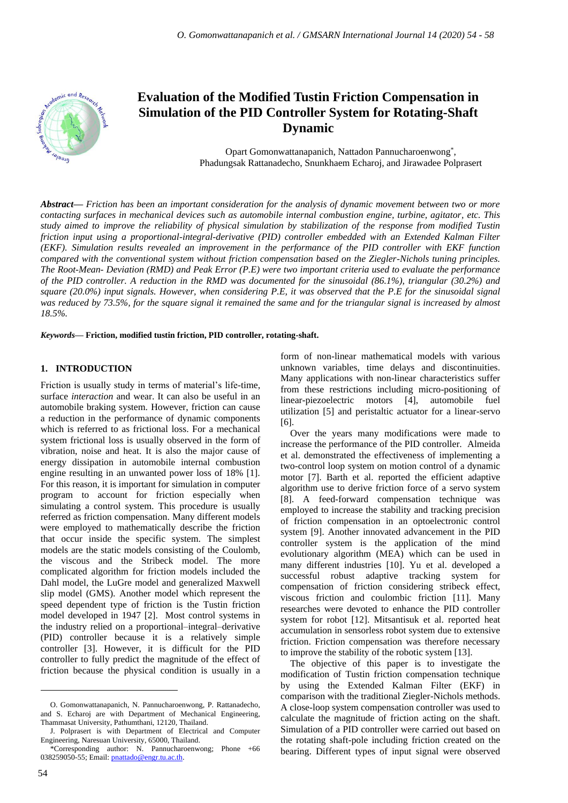

# **Evaluation of the Modified Tustin Friction Compensation in Simulation of the PID Controller System for Rotating-Shaft Dynamic**

Opart Gomonwattanapanich, Nattadon Pannucharoenwong<sup>\*</sup>, Phadungsak Rattanadecho, Snunkhaem Echaroj, and Jirawadee Polprasert

*Abstract***—** *Friction has been an important consideration for the analysis of dynamic movement between two or more contacting surfaces in mechanical devices such as automobile internal combustion engine, turbine, agitator, etc. This study aimed to improve the reliability of physical simulation by stabilization of the response from modified Tustin friction input using a proportional-integral-derivative (PID) controller embedded with an Extended Kalman Filter (EKF). Simulation results revealed an improvement in the performance of the PID controller with EKF function compared with the conventional system without friction compensation based on the Ziegler-Nichols tuning principles. The Root-Mean- Deviation (RMD) and Peak Error (P.E) were two important criteria used to evaluate the performance of the PID controller. A reduction in the RMD was documented for the sinusoidal (86.1%), triangular (30.2%) and square (20.0%) input signals. However, when considering P.E, it was observed that the P.E for the sinusoidal signal was reduced by 73.5%, for the square signal it remained the same and for the triangular signal is increased by almost 18.5%.*

*Keywords***— Friction, modified tustin friction, PID controller, rotating-shaft.**

# **1. INTRODUCTION**

Friction is usually study in terms of material's life-time, surface *interaction* and wear. It can also be useful in an automobile braking system. However, friction can cause a reduction in the performance of dynamic components which is referred to as frictional loss. For a mechanical system frictional loss is usually observed in the form of vibration, noise and heat. It is also the major cause of energy dissipation in automobile internal combustion engine resulting in an unwanted power loss of 18% [1]. For this reason, it is important for simulation in computer program to account for friction especially when simulating a control system. This procedure is usually referred as friction compensation. Many different models were employed to mathematically describe the friction that occur inside the specific system. The simplest models are the static models consisting of the Coulomb, the viscous and the Stribeck model. The more complicated algorithm for friction models included the Dahl model, the LuGre model and generalized Maxwell slip model (GMS). Another model which represent the speed dependent type of friction is the Tustin friction model developed in 1947 [2]. Most control systems in the industry relied on a proportional–integral–derivative (PID) controller because it is a relatively simple controller [3]. However, it is difficult for the PID controller to fully predict the magnitude of the effect of friction because the physical condition is usually in a

form of non-linear mathematical models with various unknown variables, time delays and discontinuities. Many applications with non-linear characteristics suffer from these restrictions including micro-positioning of linear-piezoelectric motors [4], automobile fuel utilization [5] and peristaltic actuator for a linear-servo [6].

Over the years many modifications were made to increase the performance of the PID controller. Almeida et al. demonstrated the effectiveness of implementing a two-control loop system on motion control of a dynamic motor [7]. Barth et al. reported the efficient adaptive algorithm use to derive friction force of a servo system [8]. A feed-forward compensation technique was employed to increase the stability and tracking precision of friction compensation in an optoelectronic control system [9]. Another innovated advancement in the PID controller system is the application of the mind evolutionary algorithm (MEA) which can be used in many different industries [10]. Yu et al. developed a successful robust adaptive tracking system for compensation of friction considering stribeck effect, viscous friction and coulombic friction [11]. Many researches were devoted to enhance the PID controller system for robot [12]. Mitsantisuk et al. reported heat accumulation in sensorless robot system due to extensive friction. Friction compensation was therefore necessary to improve the stability of the robotic system [13].

The objective of this paper is to investigate the modification of Tustin friction compensation technique by using the Extended Kalman Filter (EKF) in comparison with the traditional Ziegler-Nichols methods. A close-loop system compensation controller was used to calculate the magnitude of friction acting on the shaft. Simulation of a PID controller were carried out based on the rotating shaft-pole including friction created on the bearing. Different types of input signal were observed

O. Gomonwattanapanich, N. Pannucharoenwong, P. Rattanadecho, and S. Echaroj are with Department of Mechanical Engineering, Thammasat University, Pathumthani, 12120, Thailand.

J. Polprasert is with Department of Electrical and Computer Engineering, Naresuan University, 65000, Thailand.

<sup>\*</sup>Corresponding author: N. Pannucharoenwong; Phone +66 038259050-55; Email: [pnattado@engr.tu.ac.th.](mailto:pnattado@engr.tu.ac.th)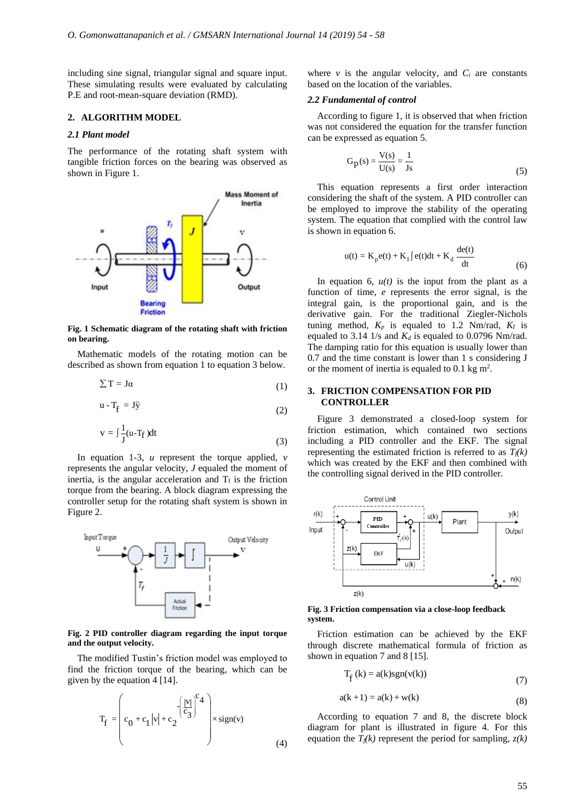including sine signal, triangular signal and square input. These simulating results were evaluated by calculating P.E and root-mean-square deviation (RMD).

#### **2. ALGORITHM MODEL**

#### *2.1 Plant model*

The performance of the rotating shaft system with tangible friction forces on the bearing was observed as shown in Figure 1.



**Fig. 1 Schematic diagram of the rotating shaft with friction on bearing.**

Mathematic models of the rotating motion can be described as shown from equation 1 to equation 3 below.

$$
\sum T = J\alpha \tag{1}
$$

$$
u - T_f = J\ddot{y}
$$
 (2)

$$
v = \int \frac{1}{J} (u - T_f) dt
$$
 (3)

In equation 1-3, *u* represent the torque applied, *v* represents the angular velocity, *J* equaled the moment of inertia, is the angular acceleration and  $T_f$  is the friction torque from the bearing. A block diagram expressing the controller setup for the rotating shaft system is shown in Figure 2.



#### **Fig. 2 PID controller diagram regarding the input torque and the output velocity.**

The modified Tustin's friction model was employed to find the friction torque of the bearing, which can be given by the equation 4 [14].

$$
T_f = \left( c_0 + c_1 |v| + c_2 \left( \frac{|v|}{c_3} \right)^{c_4} \right) \times sign(v)
$$
di  
(4)

where  $\nu$  is the angular velocity, and  $C_i$  are constants based on the location of the variables.

### *2.2 Fundamental of control*

According to figure 1, it is observed that when friction was not considered the equation for the transfer function can be expressed as equation 5.

$$
G_p(s) = \frac{V(s)}{U(s)} = \frac{1}{Js}
$$
 (5)

019) 54 - 58<br>
v is the angular velocity, and  $C_i$  are constants<br>
n the location of the variables.<br>
damental of control<br>
rding to figure 1, it is observed that when friction<br>
considered the equation for the transfer functi This equation represents a first order interaction considering the shaft of the system. A PID controller can be employed to improve the stability of the operating system. The equation that complied with the control law is shown in equation 6. 58<br>
S8<br>
angular velocity, and  $C_i$  are constants<br>
tion of the variables.<br> *of control*<br>
igure 1, it is observed that when friction<br>
ad the equation for the transfer function<br>
as equation 5.<br>
<u>V(s)</u> =  $\frac{1}{1s}$  (5)<br>
repre

$$
u(t) = K_p e(t) + K_I \int e(t)dt + K_d \frac{de(t)}{dt}
$$
 (6)

19) 54 - 58<br>
is the angular velocity, and  $C_i$  are constants<br>
the location of the variables.<br> **amental of control**<br>
ling to figure 1, it is observed that when friction<br>
onsidered the equation for the transfer function<br>
pr In equation 6,  $u(t)$  is the input from the plant as a function of time, *e* represents the error signal, is the integral gain, is the proportional gain, and is the derivative gain. For the traditional Ziegler-Nichols tuning method,  $K_p$  is equaled to 1.2 Nm/rad,  $K_I$  is equaled to 3.14 1/s and  $K_d$  is equaled to 0.0796 Nm/rad. The damping ratio for this equation is usually lower than 0.7 and the time constant is lower than 1 s considering J or the moment of inertia is equaled to 0.1 kg  $m^2$ .

### **3. FRICTION COMPENSATION FOR PID CONTROLLER**

Figure 3 demonstrated a closed-loop system for friction estimation, which contained two sections including a PID controller and the EKF. The signal representing the estimated friction is referred to as *Tf(k)* which was created by the EKF and then combined with the controlling signal derived in the PID controller.



**Fig. 3 Friction compensation via a close-loop feedback system.**

Friction estimation can be achieved by the EKF through discrete mathematical formula of friction as shown in equation 7 and 8 [15].

$$
T_f(k) = a(k)sgn(v(k))
$$
\n(7)

$$
a(k+1) = a(k) + w(k)
$$
 (8)

According to equation 7 and 8, the discrete block diagram for plant is illustrated in figure 4. For this equation the  $T_f(k)$  represent the period for sampling,  $z(k)$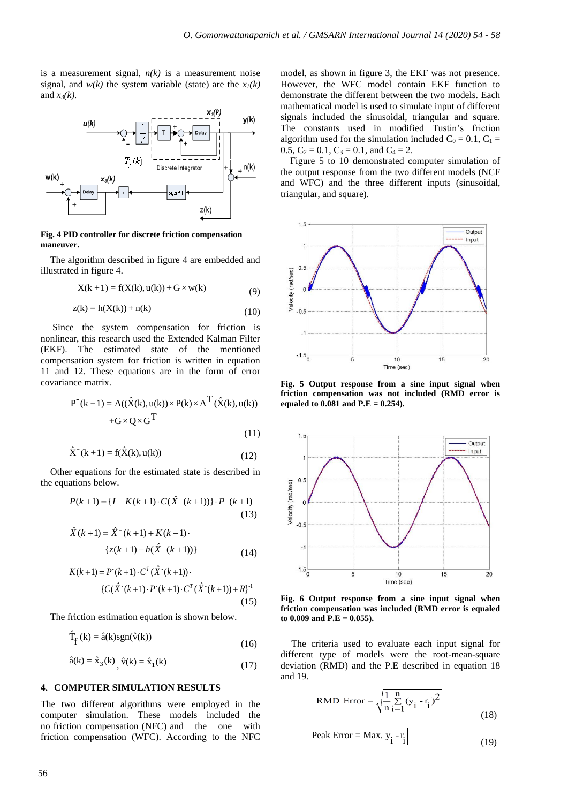is a measurement signal,  $n(k)$  is a measurement noise signal, and  $w(k)$  the system variable (state) are the  $x_l(k)$ and  $x_3(k)$ .



#### **Fig. 4 PID controller for discrete friction compensation maneuver.**

The algorithm described in figure 4 are embedded and illustrated in figure 4.

$$
X(k + 1) = f(X(k), u(k)) + G \times w(k)
$$
 (9)

$$
z(k) = h(X(k)) + n(k)
$$
\n<sup>(10)</sup>

Since the system compensation for friction is nonlinear, this research used the Extended Kalman Filter (EKF). The estimated state of the mentioned compensation system for friction is written in equation 11 and 12. These equations are in the form of error covariance matrix. -<br>
ID controller for discrete friction compensaties<br>
er.<br>
algorithm described in figure 4 are embedd<br>
ed in figure 4.<br>  $X(k+1) = f(X(k), u(k)) + G \times w(k)$ <br>  $z(k) = h(X(k)) + n(k)$ <br>
e the system compensation for friction<br>
ar, this research used ˆ { ( 1) ( ( 1))} **D** controller for discrete friction compensation<br> **ID** controller for discrete friction compensation<br> **ID** controller for discrete friction compensation<br>  $z(k)$ <br>  $z(k) = h(X(k)) + n(k)$  (10)<br>  $z(k) = h(X(k)) + n(k)$  (10)<br>
c the system comp **a**<br> **z**<sup>*z*</sup>(*k*)<br> **z** are for discrete friction compensation<br>
described in figure 4 are embedded and<br>
e 4.<br>  $=f(X(k), u(k)) + G \times w(k)$  (10)<br>
((*k*) + n(*k*) (10)<br>
stem compensation for friction is<br>
earch used the Extended Kalman = f(X(k), u(k)) + G × w(k)<br>
(9<br>
(k)) + n(k) (10<br>
tem compensation for friction i<br>
carch used the Extended Kalman Filte<br>
timated state of the mentione<br>
em for friction is written in equation<br>
equations are in the form of e (a)  $h + 1$ )  $h + 2$   $h + 3$   $\left(\frac{1}{2}\right)$   $\frac{1}{2}$   $\frac{1}{2}$   $\frac{1}{2}$   $\frac{1}{2}$   $\frac{1}{2}$   $\frac{1}{2}$   $\frac{1}{2}$   $\frac{1}{2}$  and  $\frac{1}{2}$  state of the mentioned quations are in the form of error<br>
(( $\hat{X}(k)$ , u(k))  $\times P(k) \times A^$ 

$$
P^{(k+1)} = A((\hat{X}(k), u(k)) \times P(k) \times A^{1} (\hat{X}(k), u(k)) + G \times Q \times G^{T}
$$
\n(11)

$$
\hat{X}^{-}(k+1) = f(\hat{X}(k), u(k))
$$
\n(12)

Other equations for the estimated state is described in the equations below.

$$
P(k+1) = \{I - K(k+1) \cdot C(\hat{X}^{-}(k+1))\} \cdot P^{-}(k+1)
$$
\n(13)

$$
\hat{X}(k+1) = \hat{X}^{-}(k+1) + K(k+1)
$$

$$
\{z(k+1) - h(\hat{X}^{-}(k+1))\}
$$
(14)

+
$$
G \times Q \times G^{T}
$$
 (11)  
\n $\hat{X}^-(k+1) = f(\hat{X}(k), u(k))$  (12)  
\n $r$  equations for the estimated state is described in  
\nations below.  
\n $P(k+1) = \{I - K(k+1) \cdot C(\hat{X}^-(k+1))\} \cdot P^-(k+1)$   
\n $\hat{X}(k+1) = \hat{X}^-(k+1) + K(k+1)$  (13)  
\n $\hat{X}(k+1) = \hat{X}^-(k+1) + K(k+1)$  (14)  
\n $K(k+1) = P^*(k+1) \cdot C^T(\hat{X}^-(k+1))$  (14)  
\n $\begin{aligned}\n&(C(\hat{X}^-(k+1) \cdot P^-(k+1) \cdot C^T(\hat{X}^-(k+1)) + R)^{-1} \\
&(15)\n\end{aligned}$  (15)  
\nfriction estimation equation is shown below.  
\n $\hat{T}_f(k) = \hat{a}(k)sgn(\hat{v}(k))$  (16)  
\n $\hat{a}(k) = \hat{x}_3(k)$ ,  $\hat{v}(k) = \hat{x}_1(k)$  (17)  
\n $\text{diviation}$ 

The friction estimation equation is shown below.

$$
\hat{T}_{f}(k) = \hat{a}(k)sgn(\hat{v}(k))\tag{16}
$$

$$
\hat{a}(k) = \hat{x}_3(k), \quad \hat{v}(k) = \hat{x}_1(k)
$$
\n(17)

#### **4. COMPUTER SIMULATION RESULTS**

The two different algorithms were employed in the computer simulation. These models included the no friction compensation (NFC) and the one with friction compensation (WFC). According to the NFC model, as shown in figure 3, the EKF was not presence. However, the WFC model contain EKF function to demonstrate the different between the two models. Each mathematical model is used to simulate input of different signals included the sinusoidal, triangular and square. The constants used in modified Tustin's friction algorithm used for the simulation included  $C_0 = 0.1$ ,  $C_1 =$ 0.5,  $C_2 = 0.1$ ,  $C_3 = 0.1$ , and  $C_4 = 2$ .

Figure 5 to 10 demonstrated computer simulation of the output response from the two different models (NCF and WFC) and the three different inputs (sinusoidal, triangular, and square).



**Fig. 5 Output response from a sine input signal when friction compensation was not included (RMD error is equaled to 0.081 and P.E = 0.254).**



**Fig. 6 Output response from a sine input signal when friction compensation was included (RMD error is equaled to 0.009 and P.E = 0.055).**

The criteria used to evaluate each input signal for different type of models were the root-mean-square deviation (RMD) and the P.E described in equation 18 and 19.

RMD Error = 
$$
\sqrt{\frac{1}{n} \sum_{i=1}^{n} (y_i - r_i)^2}
$$
 (18)

$$
Peak Error = Max. |y_i - r_i|
$$
 (19)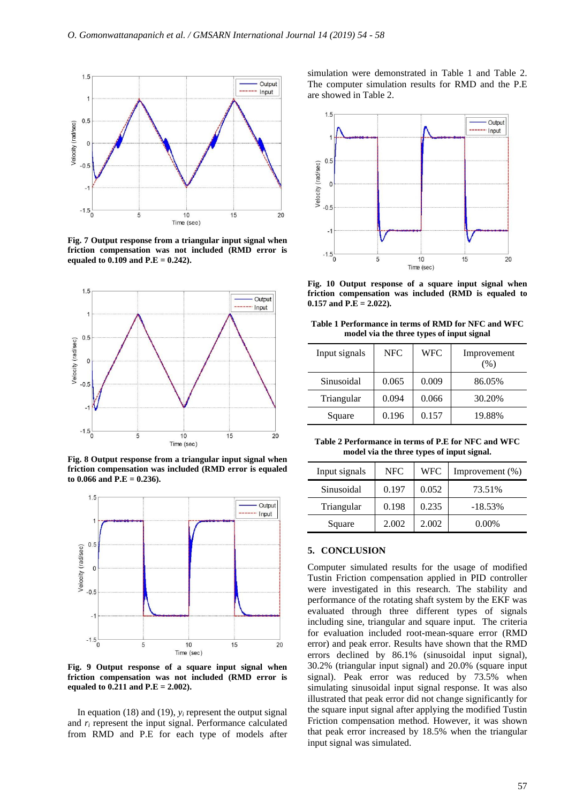

**Fig. 7 Output response from a triangular input signal when friction compensation was not included (RMD error is equaled to 0.109 and P.E = 0.242).** 



**Fig. 8 Output response from a triangular input signal when friction compensation was included (RMD error is equaled to 0.066 and P.E = 0.236).** 



**Fig. 9 Output response of a square input signal when friction compensation was not included (RMD error is equaled to 0.211 and P.E = 2.002).**

In equation (18) and (19),  $y_i$  represent the output signal and *r<sup>i</sup>* represent the input signal. Performance calculated from RMD and P.E for each type of models after simulation were demonstrated in Table 1 and Table 2. The computer simulation results for RMD and the P.E are showed in Table 2.



**Fig. 10 Output response of a square input signal when friction compensation was included (RMD is equaled to 0.157 and P.E = 2.022).**

**Table 1 Performance in terms of RMD for NFC and WFC model via the three types of input signal**

| Input signals | NFC   | <b>WFC</b> | Improvement<br>(%) |
|---------------|-------|------------|--------------------|
| Sinusoidal    | 0.065 | 0.009      | 86.05%             |
| Triangular    | 0.094 | 0.066      | 30.20%             |
| Square        | 0.196 | 0.157      | 19.88%             |

**Table 2 Performance in terms of P.E for NFC and WFC model via the three types of input signal.**

| Input signals | NFC   | <b>WFC</b> | Improvement $(\%)$ |
|---------------|-------|------------|--------------------|
| Sinusoidal    | 0.197 | 0.052      | 73.51%             |
| Triangular    | 0.198 | 0.235      | $-18.53%$          |
| Square        | 2.002 | 2.002      | $0.00\%$           |

#### **5. CONCLUSION**

Computer simulated results for the usage of modified Tustin Friction compensation applied in PID controller were investigated in this research. The stability and performance of the rotating shaft system by the EKF was evaluated through three different types of signals including sine, triangular and square input. The criteria for evaluation included root-mean-square error (RMD error) and peak error. Results have shown that the RMD errors declined by 86.1% (sinusoidal input signal), 30.2% (triangular input signal) and 20.0% (square input signal). Peak error was reduced by 73.5% when simulating sinusoidal input signal response. It was also illustrated that peak error did not change significantly for the square input signal after applying the modified Tustin Friction compensation method. However, it was shown that peak error increased by 18.5% when the triangular input signal was simulated.